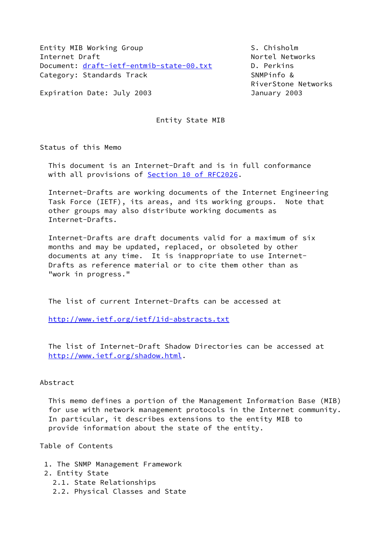Entity MIB Working Group S. Chisholm Internet Draft Nortel Networks Document: [draft-ietf-entmib-state-00.txt](https://datatracker.ietf.org/doc/pdf/draft-ietf-entmib-state-00.txt) D. Perkins Category: Standards Track SNMPinfo &

RiverStone Networks

Expiration Date: July 2003 **Immediates** January 2003

Entity State MIB

Status of this Memo

 This document is an Internet-Draft and is in full conformance with all provisions of Section [10 of RFC2026.](https://datatracker.ietf.org/doc/pdf/rfc2026#section-10)

 Internet-Drafts are working documents of the Internet Engineering Task Force (IETF), its areas, and its working groups. Note that other groups may also distribute working documents as Internet-Drafts.

 Internet-Drafts are draft documents valid for a maximum of six months and may be updated, replaced, or obsoleted by other documents at any time. It is inappropriate to use Internet- Drafts as reference material or to cite them other than as "work in progress."

The list of current Internet-Drafts can be accessed at

<http://www.ietf.org/ietf/1id-abstracts.txt>

 The list of Internet-Draft Shadow Directories can be accessed at <http://www.ietf.org/shadow.html>.

## Abstract

 This memo defines a portion of the Management Information Base (MIB) for use with network management protocols in the Internet community. In particular, it describes extensions to the entity MIB to provide information about the state of the entity.

Table of Contents

 1. The SNMP Management Framework 2. Entity State 2.1. State Relationships 2.2. Physical Classes and State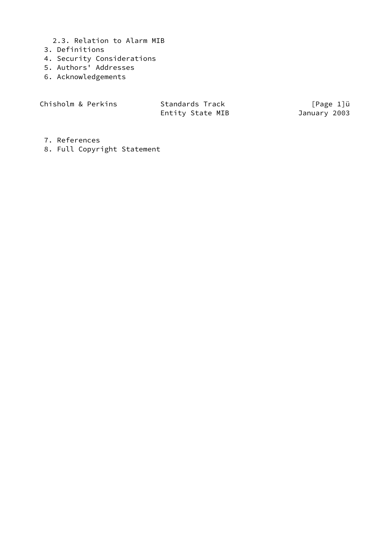- 2.3. Relation to Alarm MIB
- 3. Definitions
- 4. Security Considerations
- 5. Authors' Addresses
- 6. Acknowledgements

Chisholm & Perkins Standards Track [Page 1]ü Entity State MIB January 2003

- 7. References
- 8. Full Copyright Statement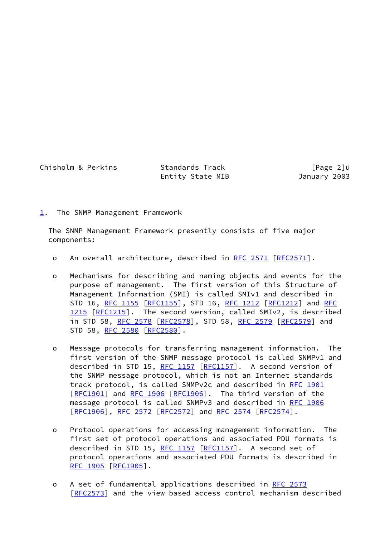Chisholm & Perkins Standards Track [Page 2]u

Entity State MIB January 2003

<span id="page-2-0"></span>[1](#page-2-0). The SNMP Management Framework

 The SNMP Management Framework presently consists of five major components:

- o An overall architecture, described in [RFC 2571](https://datatracker.ietf.org/doc/pdf/rfc2571) [[RFC2571\]](https://datatracker.ietf.org/doc/pdf/rfc2571).
- o Mechanisms for describing and naming objects and events for the purpose of management. The first version of this Structure of Management Information (SMI) is called SMIv1 and described in STD 16, [RFC 1155 \[RFC1155](https://datatracker.ietf.org/doc/pdf/rfc1155)], STD 16, [RFC 1212](https://datatracker.ietf.org/doc/pdf/rfc1212) [\[RFC1212](https://datatracker.ietf.org/doc/pdf/rfc1212)] and [RFC](https://datatracker.ietf.org/doc/pdf/rfc1215) [1215 \[RFC1215](https://datatracker.ietf.org/doc/pdf/rfc1215)]. The second version, called SMIv2, is described in STD 58, [RFC 2578 \[RFC2578](https://datatracker.ietf.org/doc/pdf/rfc2578)], STD 58, [RFC 2579 \[RFC2579](https://datatracker.ietf.org/doc/pdf/rfc2579)] and STD 58, [RFC 2580 \[RFC2580](https://datatracker.ietf.org/doc/pdf/rfc2580)].
- o Message protocols for transferring management information. The first version of the SNMP message protocol is called SNMPv1 and described in STD 15, [RFC 1157](https://datatracker.ietf.org/doc/pdf/rfc1157) [[RFC1157](https://datatracker.ietf.org/doc/pdf/rfc1157)]. A second version of the SNMP message protocol, which is not an Internet standards track protocol, is called SNMPv2c and described in [RFC 1901](https://datatracker.ietf.org/doc/pdf/rfc1901) [\[RFC1901](https://datatracker.ietf.org/doc/pdf/rfc1901)] and [RFC 1906](https://datatracker.ietf.org/doc/pdf/rfc1906) [[RFC1906\]](https://datatracker.ietf.org/doc/pdf/rfc1906). The third version of the message protocol is called SNMPv3 and described in [RFC 1906](https://datatracker.ietf.org/doc/pdf/rfc1906) [\[RFC1906](https://datatracker.ietf.org/doc/pdf/rfc1906)], [RFC 2572 \[RFC2572](https://datatracker.ietf.org/doc/pdf/rfc2572)] and [RFC 2574](https://datatracker.ietf.org/doc/pdf/rfc2574) [\[RFC2574](https://datatracker.ietf.org/doc/pdf/rfc2574)].
- o Protocol operations for accessing management information. The first set of protocol operations and associated PDU formats is described in STD 15, [RFC 1157](https://datatracker.ietf.org/doc/pdf/rfc1157) [[RFC1157](https://datatracker.ietf.org/doc/pdf/rfc1157)]. A second set of protocol operations and associated PDU formats is described in [RFC 1905 \[RFC1905](https://datatracker.ietf.org/doc/pdf/rfc1905)].
- o A set of fundamental applications described in [RFC 2573](https://datatracker.ietf.org/doc/pdf/rfc2573) [\[RFC2573](https://datatracker.ietf.org/doc/pdf/rfc2573)] and the view-based access control mechanism described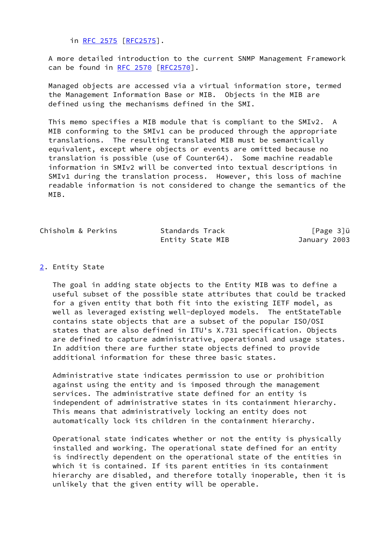in [RFC 2575 \[RFC2575](https://datatracker.ietf.org/doc/pdf/rfc2575)].

 A more detailed introduction to the current SNMP Management Framework can be found in [RFC 2570 \[RFC2570](https://datatracker.ietf.org/doc/pdf/rfc2570)].

 Managed objects are accessed via a virtual information store, termed the Management Information Base or MIB. Objects in the MIB are defined using the mechanisms defined in the SMI.

 This memo specifies a MIB module that is compliant to the SMIv2. A MIB conforming to the SMIv1 can be produced through the appropriate translations. The resulting translated MIB must be semantically equivalent, except where objects or events are omitted because no translation is possible (use of Counter64). Some machine readable information in SMIv2 will be converted into textual descriptions in SMIv1 during the translation process. However, this loss of machine readable information is not considered to change the semantics of the MIB.

| Chisholm & Perkins | Standards Track  | [Page 3]ü    |
|--------------------|------------------|--------------|
|                    | Entity State MIB | January 2003 |

### <span id="page-3-0"></span>[2](#page-3-0). Entity State

 The goal in adding state objects to the Entity MIB was to define a useful subset of the possible state attributes that could be tracked for a given entity that both fit into the existing IETF model, as well as leveraged existing well-deployed models. The entStateTable contains state objects that are a subset of the popular ISO/OSI states that are also defined in ITU's X.731 specification. Objects are defined to capture administrative, operational and usage states. In addition there are further state objects defined to provide additional information for these three basic states.

 Administrative state indicates permission to use or prohibition against using the entity and is imposed through the management services. The administrative state defined for an entity is independent of administrative states in its containment hierarchy. This means that administratively locking an entity does not automatically lock its children in the containment hierarchy.

 Operational state indicates whether or not the entity is physically installed and working. The operational state defined for an entity is indirectly dependent on the operational state of the entities in which it is contained. If its parent entities in its containment hierarchy are disabled, and therefore totally inoperable, then it is unlikely that the given entity will be operable.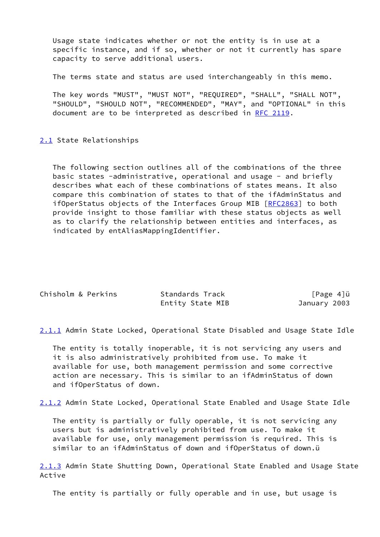Usage state indicates whether or not the entity is in use at a specific instance, and if so, whether or not it currently has spare capacity to serve additional users.

The terms state and status are used interchangeably in this memo.

 The key words "MUST", "MUST NOT", "REQUIRED", "SHALL", "SHALL NOT", "SHOULD", "SHOULD NOT", "RECOMMENDED", "MAY", and "OPTIONAL" in this document are to be interpreted as described in [RFC 2119.](https://datatracker.ietf.org/doc/pdf/rfc2119)

<span id="page-4-0"></span>[2.1](#page-4-0) State Relationships

 The following section outlines all of the combinations of the three basic states -administrative, operational and usage - and briefly describes what each of these combinations of states means. It also compare this combination of states to that of the ifAdminStatus and ifOperStatus objects of the Interfaces Group MIB [\[RFC2863](https://datatracker.ietf.org/doc/pdf/rfc2863)] to both provide insight to those familiar with these status objects as well as to clarify the relationship between entities and interfaces, as indicated by entAliasMappingIdentifier.

| Chisholm & Perkins | Standards Track  | $[Page 4]$ ü |
|--------------------|------------------|--------------|
|                    | Entity State MIB | January 2003 |

<span id="page-4-1"></span>[2.1.1](#page-4-1) Admin State Locked, Operational State Disabled and Usage State Idle

 The entity is totally inoperable, it is not servicing any users and it is also administratively prohibited from use. To make it available for use, both management permission and some corrective action are necessary. This is similar to an ifAdminStatus of down and ifOperStatus of down.

<span id="page-4-2"></span>[2.1.2](#page-4-2) Admin State Locked, Operational State Enabled and Usage State Idle

 The entity is partially or fully operable, it is not servicing any users but is administratively prohibited from use. To make it available for use, only management permission is required. This is similar to an ifAdminStatus of down and ifOperStatus of down.ü

<span id="page-4-3"></span>[2.1.3](#page-4-3) Admin State Shutting Down, Operational State Enabled and Usage State Active

The entity is partially or fully operable and in use, but usage is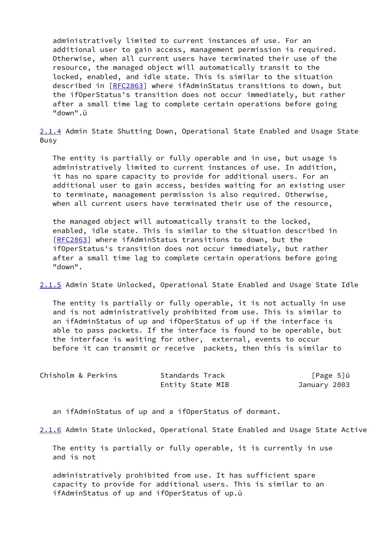administratively limited to current instances of use. For an additional user to gain access, management permission is required. Otherwise, when all current users have terminated their use of the resource, the managed object will automatically transit to the locked, enabled, and idle state. This is similar to the situation described in [\[RFC2863](https://datatracker.ietf.org/doc/pdf/rfc2863)] where ifAdminStatus transitions to down, but the ifOperStatus's transition does not occur immediately, but rather after a small time lag to complete certain operations before going "down".ü

<span id="page-5-0"></span>[2.1.4](#page-5-0) Admin State Shutting Down, Operational State Enabled and Usage State Busy

 The entity is partially or fully operable and in use, but usage is administratively limited to current instances of use. In addition, it has no spare capacity to provide for additional users. For an additional user to gain access, besides waiting for an existing user to terminate, management permission is also required. Otherwise, when all current users have terminated their use of the resource,

 the managed object will automatically transit to the locked, enabled, idle state. This is similar to the situation described in [\[RFC2863](https://datatracker.ietf.org/doc/pdf/rfc2863)] where ifAdminStatus transitions to down, but the ifOperStatus's transition does not occur immediately, but rather after a small time lag to complete certain operations before going "down".

<span id="page-5-1"></span>[2.1.5](#page-5-1) Admin State Unlocked, Operational State Enabled and Usage State Idle

 The entity is partially or fully operable, it is not actually in use and is not administratively prohibited from use. This is similar to an ifAdminStatus of up and ifOperStatus of up if the interface is able to pass packets. If the interface is found to be operable, but the interface is waiting for other, external, events to occur before it can transmit or receive packets, then this is similar to

| Chisholm & Perkins | Standards Track  | [Page 5]ü    |
|--------------------|------------------|--------------|
|                    | Entity State MIB | January 2003 |

an ifAdminStatus of up and a ifOperStatus of dormant.

<span id="page-5-2"></span>[2.1.6](#page-5-2) Admin State Unlocked, Operational State Enabled and Usage State Active

 The entity is partially or fully operable, it is currently in use and is not

 administratively prohibited from use. It has sufficient spare capacity to provide for additional users. This is similar to an ifAdminStatus of up and ifOperStatus of up.ü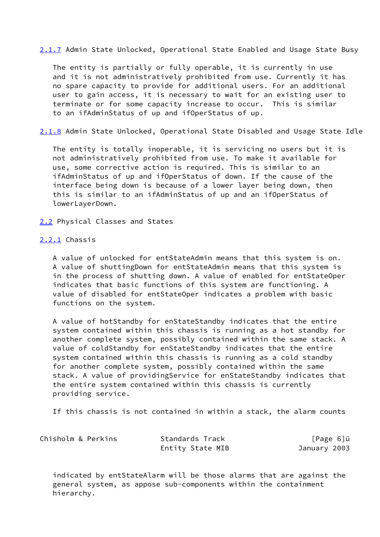<span id="page-6-0"></span>[2.1.7](#page-6-0) Admin State Unlocked, Operational State Enabled and Usage State Busy

 The entity is partially or fully operable, it is currently in use and it is not administratively prohibited from use. Currently it has no spare capacity to provide for additional users. For an additional user to gain access, it is necessary to wait for an existing user to terminate or for some capacity increase to occur. This is similar to an ifAdminStatus of up and ifOperStatus of up.

<span id="page-6-1"></span>[2.1.8](#page-6-1) Admin State Unlocked, Operational State Disabled and Usage State Idle

 The entity is totally inoperable, it is servicing no users but it is not administratively prohibited from use. To make it available for use, some corrective action is required. This is similar to an ifAdminStatus of up and ifOperStatus of down. If the cause of the interface being down is because of a lower layer being down, then this is similar to an ifAdminStatus of up and an ifOperStatus of lowerLayerDown.

<span id="page-6-2"></span>[2.2](#page-6-2) Physical Classes and States

#### <span id="page-6-3"></span>[2.2.1](#page-6-3) Chassis

 A value of unlocked for entStateAdmin means that this system is on. A value of shuttingDown for entStateAdmin means that this system is in the process of shutting down. A value of enabled for entStateOper indicates that basic functions of this system are functioning. A value of disabled for entStateOper indicates a problem with basic functions on the system.

 A value of hotStandby for enStateStandby indicates that the entire system contained within this chassis is running as a hot standby for another complete system, possibly contained within the same stack. A value of coldStandby for enStateStandby indicates that the entire system contained within this chassis is running as a cold standby for another complete system, possibly contained within the same stack. A value of providingService for enStateStandby indicates that the entire system contained within this chassis is currently providing service.

If this chassis is not contained in within a stack, the alarm counts

| Chisholm & Perkins | Standards Track  | $[Page 6]$ ü |
|--------------------|------------------|--------------|
|                    | Entity State MIB | January 2003 |

 indicated by entStateAlarm will be those alarms that are against the general system, as appose sub-components within the containment hierarchy.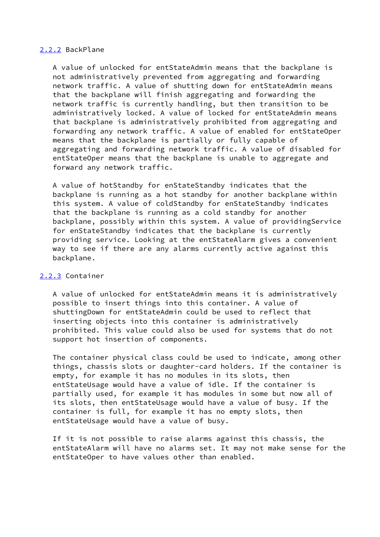### <span id="page-7-0"></span>[2.2.2](#page-7-0) BackPlane

 A value of unlocked for entStateAdmin means that the backplane is not administratively prevented from aggregating and forwarding network traffic. A value of shutting down for entStateAdmin means that the backplane will finish aggregating and forwarding the network traffic is currently handling, but then transition to be administratively locked. A value of locked for entStateAdmin means that backplane is administratively prohibited from aggregating and forwarding any network traffic. A value of enabled for entStateOper means that the backplane is partially or fully capable of aggregating and forwarding network traffic. A value of disabled for entStateOper means that the backplane is unable to aggregate and forward any network traffic.

 A value of hotStandby for enStateStandby indicates that the backplane is running as a hot standby for another backplane within this system. A value of coldStandby for enStateStandby indicates that the backplane is running as a cold standby for another backplane, possibly within this system. A value of providingService for enStateStandby indicates that the backplane is currently providing service. Looking at the entStateAlarm gives a convenient way to see if there are any alarms currently active against this backplane.

## <span id="page-7-1"></span>[2.2.3](#page-7-1) Container

 A value of unlocked for entStateAdmin means it is administratively possible to insert things into this container. A value of shuttingDown for entStateAdmin could be used to reflect that inserting objects into this container is administratively prohibited. This value could also be used for systems that do not support hot insertion of components.

 The container physical class could be used to indicate, among other things, chassis slots or daughter-card holders. If the container is empty, for example it has no modules in its slots, then entStateUsage would have a value of idle. If the container is partially used, for example it has modules in some but now all of its slots, then entStateUsage would have a value of busy. If the container is full, for example it has no empty slots, then entStateUsage would have a value of busy.

 If it is not possible to raise alarms against this chassis, the entStateAlarm will have no alarms set. It may not make sense for the entStateOper to have values other than enabled.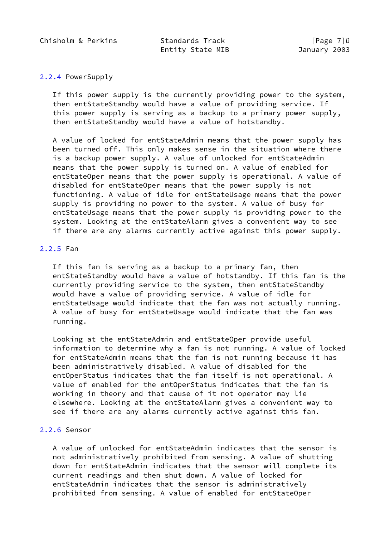Chisholm & Perkins Standards Track [Page 7]ü

Entity State MIB January 2003

## <span id="page-8-0"></span>[2.2.4](#page-8-0) PowerSupply

 If this power supply is the currently providing power to the system, then entStateStandby would have a value of providing service. If this power supply is serving as a backup to a primary power supply, then entStateStandby would have a value of hotstandby.

 A value of locked for entStateAdmin means that the power supply has been turned off. This only makes sense in the situation where there is a backup power supply. A value of unlocked for entStateAdmin means that the power supply is turned on. A value of enabled for entStateOper means that the power supply is operational. A value of disabled for entStateOper means that the power supply is not functioning. A value of idle for entStateUsage means that the power supply is providing no power to the system. A value of busy for entStateUsage means that the power supply is providing power to the system. Looking at the entStateAlarm gives a convenient way to see if there are any alarms currently active against this power supply.

## <span id="page-8-1"></span>[2.2.5](#page-8-1) Fan

 If this fan is serving as a backup to a primary fan, then entStateStandby would have a value of hotstandby. If this fan is the currently providing service to the system, then entStateStandby would have a value of providing service. A value of idle for entStateUsage would indicate that the fan was not actually running. A value of busy for entStateUsage would indicate that the fan was running.

 Looking at the entStateAdmin and entStateOper provide useful information to determine why a fan is not running. A value of locked for entStateAdmin means that the fan is not running because it has been administratively disabled. A value of disabled for the entOperStatus indicates that the fan itself is not operational. A value of enabled for the entOperStatus indicates that the fan is working in theory and that cause of it not operator may lie elsewhere. Looking at the entStateAlarm gives a convenient way to see if there are any alarms currently active against this fan.

# <span id="page-8-2"></span>[2.2.6](#page-8-2) Sensor

 A value of unlocked for entStateAdmin indicates that the sensor is not administratively prohibited from sensing. A value of shutting down for entStateAdmin indicates that the sensor will complete its current readings and then shut down. A value of locked for entStateAdmin indicates that the sensor is administratively prohibited from sensing. A value of enabled for entStateOper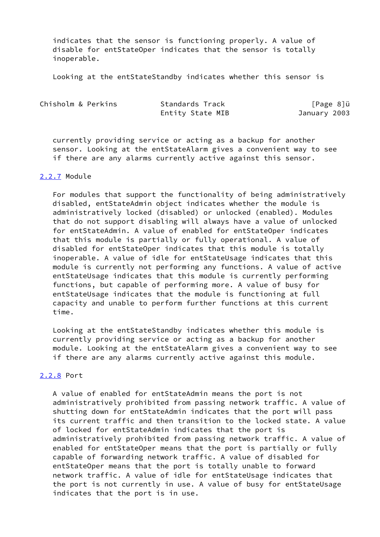indicates that the sensor is functioning properly. A value of disable for entStateOper indicates that the sensor is totally inoperable.

Looking at the entStateStandby indicates whether this sensor is

| Chisholm & Perkins | Standards Track  | [Page 8]ü    |
|--------------------|------------------|--------------|
|                    | Entity State MIB | January 2003 |

 currently providing service or acting as a backup for another sensor. Looking at the entStateAlarm gives a convenient way to see if there are any alarms currently active against this sensor.

## <span id="page-9-0"></span>[2.2.7](#page-9-0) Module

 For modules that support the functionality of being administratively disabled, entStateAdmin object indicates whether the module is administratively locked (disabled) or unlocked (enabled). Modules that do not support disabling will always have a value of unlocked for entStateAdmin. A value of enabled for entStateOper indicates that this module is partially or fully operational. A value of disabled for entStateOper indicates that this module is totally inoperable. A value of idle for entStateUsage indicates that this module is currently not performing any functions. A value of active entStateUsage indicates that this module is currently performing functions, but capable of performing more. A value of busy for entStateUsage indicates that the module is functioning at full capacity and unable to perform further functions at this current time.

 Looking at the entStateStandby indicates whether this module is currently providing service or acting as a backup for another module. Looking at the entStateAlarm gives a convenient way to see if there are any alarms currently active against this module.

# <span id="page-9-1"></span>[2.2.8](#page-9-1) Port

 A value of enabled for entStateAdmin means the port is not administratively prohibited from passing network traffic. A value of shutting down for entStateAdmin indicates that the port will pass its current traffic and then transition to the locked state. A value of locked for entStateAdmin indicates that the port is administratively prohibited from passing network traffic. A value of enabled for entStateOper means that the port is partially or fully capable of forwarding network traffic. A value of disabled for entStateOper means that the port is totally unable to forward network traffic. A value of idle for entStateUsage indicates that the port is not currently in use. A value of busy for entStateUsage indicates that the port is in use.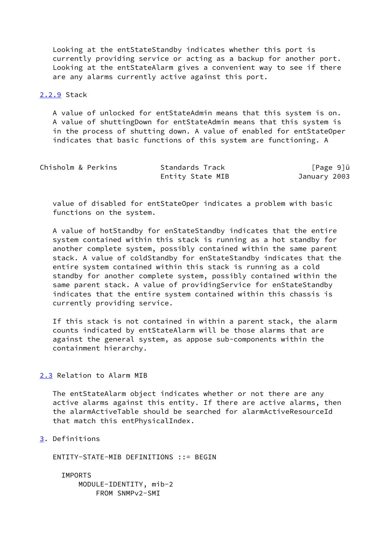Looking at the entStateStandby indicates whether this port is currently providing service or acting as a backup for another port. Looking at the entStateAlarm gives a convenient way to see if there are any alarms currently active against this port.

## <span id="page-10-0"></span>[2.2.9](#page-10-0) Stack

 A value of unlocked for entStateAdmin means that this system is on. A value of shuttingDown for entStateAdmin means that this system is in the process of shutting down. A value of enabled for entStateOper indicates that basic functions of this system are functioning. A

| Chisholm & Perkins | Standards Track  | $[Page 9]$ ü |
|--------------------|------------------|--------------|
|                    | Entity State MIB | January 2003 |

 value of disabled for entStateOper indicates a problem with basic functions on the system.

 A value of hotStandby for enStateStandby indicates that the entire system contained within this stack is running as a hot standby for another complete system, possibly contained within the same parent stack. A value of coldStandby for enStateStandby indicates that the entire system contained within this stack is running as a cold standby for another complete system, possibly contained within the same parent stack. A value of providingService for enStateStandby indicates that the entire system contained within this chassis is currently providing service.

 If this stack is not contained in within a parent stack, the alarm counts indicated by entStateAlarm will be those alarms that are against the general system, as appose sub-components within the containment hierarchy.

## <span id="page-10-1"></span>[2.3](#page-10-1) Relation to Alarm MIB

 The entStateAlarm object indicates whether or not there are any active alarms against this entity. If there are active alarms, then the alarmActiveTable should be searched for alarmActiveResourceId that match this entPhysicalIndex.

<span id="page-10-2"></span>[3](#page-10-2). Definitions

ENTITY-STATE-MIB DEFINITIONS ::= BEGIN

 IMPORTS MODULE-IDENTITY, mib-2 FROM SNMPv2-SMI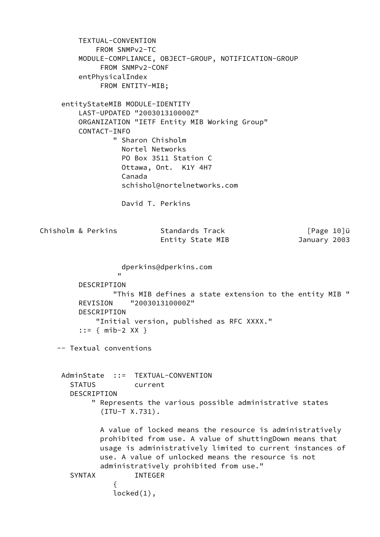TEXTUAL-CONVENTION FROM SNMPv2-TC MODULE-COMPLIANCE, OBJECT-GROUP, NOTIFICATION-GROUP FROM SNMPv2-CONF entPhysicalIndex FROM ENTITY-MIB; entityStateMIB MODULE-IDENTITY LAST-UPDATED "200301310000Z" ORGANIZATION "IETF Entity MIB Working Group" CONTACT-INFO " Sharon Chisholm Nortel Networks PO Box 3511 Station C Ottawa, Ont. K1Y 4H7 Canada schishol@nortelnetworks.com David T. Perkins Chisholm & Perkins Standards Track [Page 10]u Entity State MIB January 2003 dperkins@dperkins.com " "The contract of the contract of the contract of the contract of the contract of the contract of the contract of the contract of the contract of the contract of the contract of the contract of the contract of the contrac DESCRIPTION "This MIB defines a state extension to the entity MIB " REVISION "200301310000Z" DESCRIPTION "Initial version, published as RFC XXXX." ::= { mib-2 XX } -- Textual conventions AdminState ::= TEXTUAL-CONVENTION STATUS current DESCRIPTION " Represents the various possible administrative states (ITU-T X.731). A value of locked means the resource is administratively prohibited from use. A value of shuttingDown means that usage is administratively limited to current instances of use. A value of unlocked means the resource is not administratively prohibited from use." SYNTAX INTEGER  $\{$ locked(1),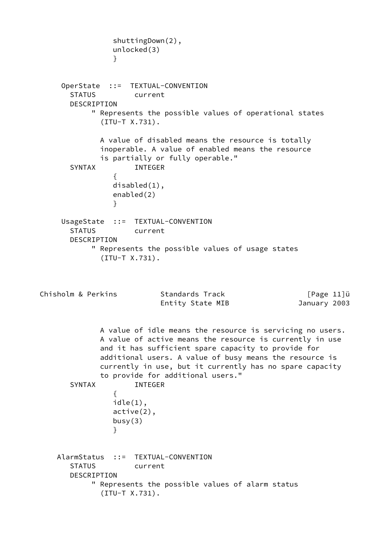```
 shuttingDown(2),
                unlocked(3)
 }
     OperState ::= TEXTUAL-CONVENTION
       STATUS current
       DESCRIPTION
           " Represents the possible values of operational states
             (ITU-T X.731).
             A value of disabled means the resource is totally
             inoperable. A value of enabled means the resource
             is partially or fully operable."
       SYNTAX INTEGER
\{ disabled(1),
                enabled(2)
 }
     UsageState ::= TEXTUAL-CONVENTION
       STATUS current
       DESCRIPTION
           " Represents the possible values of usage states
             (ITU-T X.731).
Chisholm & Perkins Standards Track [Page 11]u
                          Entity State MIB January 2003
             A value of idle means the resource is servicing no users.
             A value of active means the resource is currently in use
             and it has sufficient spare capacity to provide for
             additional users. A value of busy means the resource is
             currently in use, but it currently has no spare capacity
             to provide for additional users."
       SYNTAX INTEGER
\{ idle(1),
                active(2),
               busy(3) }
    AlarmStatus ::= TEXTUAL-CONVENTION
       STATUS current
       DESCRIPTION
           " Represents the possible values of alarm status
             (ITU-T X.731).
```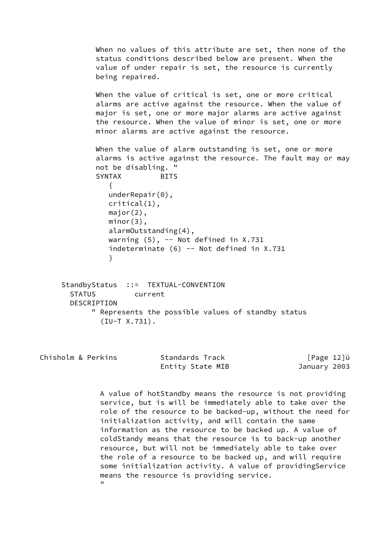When no values of this attribute are set, then none of the status conditions described below are present. When the value of under repair is set, the resource is currently being repaired. When the value of critical is set, one or more critical alarms are active against the resource. When the value of major is set, one or more major alarms are active against the resource. When the value of minor is set, one or more minor alarms are active against the resource. When the value of alarm outstanding is set, one or more alarms is active against the resource. The fault may or may not be disabling. " SYNTAX BITS  $\{$  underRepair(0), critical(1), major(2), minor(3), alarmOutstanding(4), warning  $(5)$ ,  $-$  Not defined in X.731 indeterminate  $(6)$  -- Not defined in X.731 }

StandbyStatus ::= TEXTUAL-CONVENTION STATUS current **DESCRIPTION**  " Represents the possible values of standby status (IU-T X.731).

| Chisholm & Perkins | Standards Track  | [Page 12]ü   |
|--------------------|------------------|--------------|
|                    | Entity State MIB | January 2003 |

 A value of hotStandby means the resource is not providing service, but is will be immediately able to take over the role of the resource to be backed-up, without the need for initialization activity, and will contain the same information as the resource to be backed up. A value of coldStandy means that the resource is to back-up another resource, but will not be immediately able to take over the role of a resource to be backed up, and will require some initialization activity. A value of providingService means the resource is providing service. "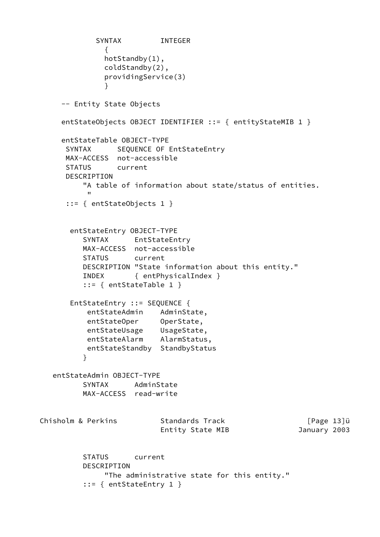```
 SYNTAX INTEGER
\{ hotStandby(1),
              coldStandby(2),
              providingService(3)
 }
     -- Entity State Objects
    entStateObjects OBJECT IDENTIFIER ::= { entityStateMIB 1 }
     entStateTable OBJECT-TYPE
     SYNTAX SEQUENCE OF EntStateEntry
      MAX-ACCESS not-accessible
      STATUS current
      DESCRIPTION
         "A table of information about state/status of entities.
 "
      ::= { entStateObjects 1 }
       entStateEntry OBJECT-TYPE
         SYNTAX EntStateEntry
         MAX-ACCESS not-accessible
         STATUS current
         DESCRIPTION "State information about this entity."
         INDEX { entPhysicalIndex }
         ::= { entStateTable 1 }
       EntStateEntry ::= SEQUENCE {
          entStateAdmin AdminState,
entStateOper OperState,
entStateUsage UsageState,
 entStateAlarm AlarmStatus,
          entStateStandby StandbyStatus
 }
   entStateAdmin OBJECT-TYPE
         SYNTAX AdminState
         MAX-ACCESS read-write
Chisholm & Perkins Standards Track [Page 13]u
                         Entity State MIB January 2003
         STATUS current
         DESCRIPTION
              "The administrative state for this entity."
          ::= { entStateEntry 1 }
```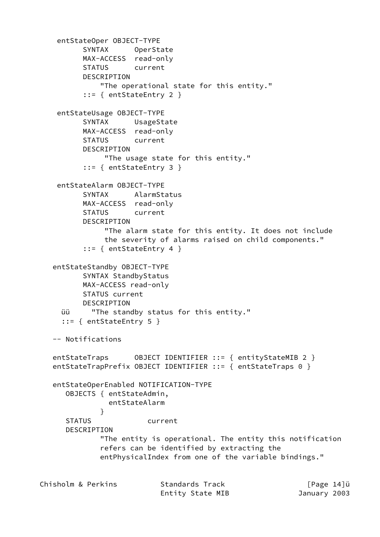entStateOper OBJECT-TYPE SYNTAX OperState MAX-ACCESS read-only STATUS current DESCRIPTION "The operational state for this entity." ::= { entStateEntry 2 } entStateUsage OBJECT-TYPE SYNTAX UsageState MAX-ACCESS read-only STATUS current DESCRIPTION "The usage state for this entity." ::= { entStateEntry 3 } entStateAlarm OBJECT-TYPE SYNTAX AlarmStatus MAX-ACCESS read-only STATUS current DESCRIPTION "The alarm state for this entity. It does not include the severity of alarms raised on child components." ::= { entStateEntry 4 } entStateStandby OBJECT-TYPE SYNTAX StandbyStatus MAX-ACCESS read-only STATUS current DESCRIPTION üü "The standby status for this entity." ::= { entStateEntry 5 } -- Notifications entStateTraps OBJECT IDENTIFIER ::= { entityStateMIB 2 } entStateTrapPrefix OBJECT IDENTIFIER ::= { entStateTraps 0 } entStateOperEnabled NOTIFICATION-TYPE OBJECTS { entStateAdmin, entStateAlarm } STATUS current DESCRIPTION "The entity is operational. The entity this notification refers can be identified by extracting the entPhysicalIndex from one of the variable bindings." Chisholm & Perkins Standards Track [Page 14]ü Entity State MIB January 2003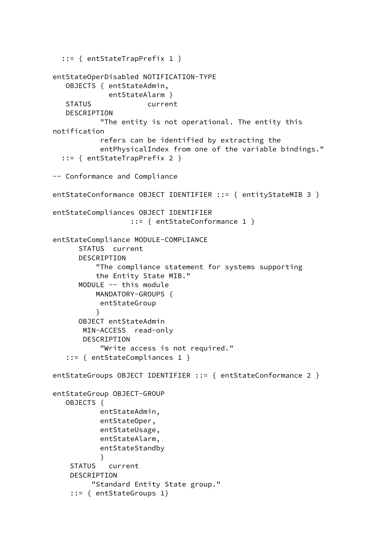```
 ::= { entStateTrapPrefix 1 }
   entStateOperDisabled NOTIFICATION-TYPE
      OBJECTS { entStateAdmin,
                entStateAlarm }
      STATUS current
      DESCRIPTION
               "The entity is not operational. The entity this
   notification
               refers can be identified by extracting the
               entPhysicalIndex from one of the variable bindings."
     ::= { entStateTrapPrefix 2 }
   -- Conformance and Compliance
  entStateConformance OBJECT IDENTIFIER ::= { entityStateMIB 3 }
   entStateCompliances OBJECT IDENTIFIER
                      ::= { entStateConformance 1 }
   entStateCompliance MODULE-COMPLIANCE
          STATUS current
          DESCRIPTION
              "The compliance statement for systems supporting
              the Entity State MIB."
         MODULE -- this module
             MANDATORY-GROUPS {
               entStateGroup
 }
         OBJECT entStateAdmin
          MIN-ACCESS read-only
          DESCRIPTION
               "Write access is not required."
       ::= { entStateCompliances 1 }
   entStateGroups OBJECT IDENTIFIER ::= { entStateConformance 2 }
   entStateGroup OBJECT-GROUP
      OBJECTS {
               entStateAdmin,
               entStateOper,
               entStateUsage,
               entStateAlarm,
               entStateStandby
 }
       STATUS current
       DESCRIPTION
             "Standard Entity State group."
        ::= { entStateGroups 1}
```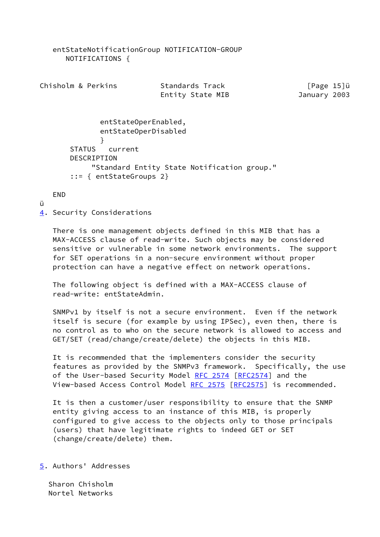entStateNotificationGroup NOTIFICATION-GROUP NOTIFICATIONS { Chisholm & Perkins Standards Track [Page 15]u Entity State MIB January 2003 entStateOperEnabled, entStateOperDisabled } STATUS current DESCRIPTION "Standard Entity State Notification group." ::= { entStateGroups 2} END ü [4](#page-17-0). Security Considerations There is one management objects defined in this MIB that has a MAX-ACCESS clause of read-write. Such objects may be considered sensitive or vulnerable in some network environments. The support for SET operations in a non-secure environment without proper

 The following object is defined with a MAX-ACCESS clause of read-write: entStateAdmin.

<span id="page-17-0"></span>protection can have a negative effect on network operations.

 SNMPv1 by itself is not a secure environment. Even if the network itself is secure (for example by using IPSec), even then, there is no control as to who on the secure network is allowed to access and GET/SET (read/change/create/delete) the objects in this MIB.

 It is recommended that the implementers consider the security features as provided by the SNMPv3 framework. Specifically, the use of the User-based Security Model [RFC 2574](https://datatracker.ietf.org/doc/pdf/rfc2574) [[RFC2574](https://datatracker.ietf.org/doc/pdf/rfc2574)] and the View-based Access Control Model [RFC 2575](https://datatracker.ietf.org/doc/pdf/rfc2575) [\[RFC2575](https://datatracker.ietf.org/doc/pdf/rfc2575)] is recommended.

 It is then a customer/user responsibility to ensure that the SNMP entity giving access to an instance of this MIB, is properly configured to give access to the objects only to those principals (users) that have legitimate rights to indeed GET or SET (change/create/delete) them.

<span id="page-17-1"></span>[5](#page-17-1). Authors' Addresses

 Sharon Chisholm Nortel Networks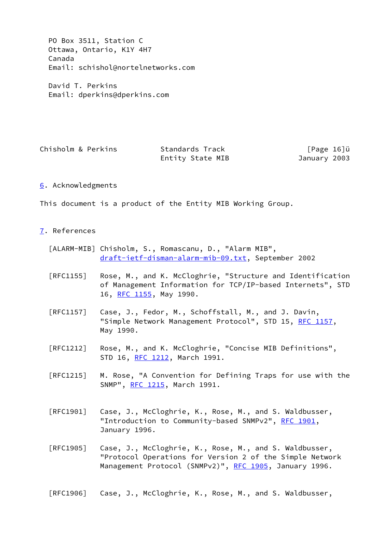PO Box 3511, Station C Ottawa, Ontario, K1Y 4H7 Canada Email: schishol@nortelnetworks.com

 David T. Perkins Email: dperkins@dperkins.com

| Chisholm & Perkins | Standards Track  | [Page 16]ü   |
|--------------------|------------------|--------------|
|                    | Entity State MIB | January 2003 |

### <span id="page-18-0"></span>[6](#page-18-0). Acknowledgments

This document is a product of the Entity MIB Working Group.

#### <span id="page-18-1"></span>[7](#page-18-1). References

- [ALARM-MIB] Chisholm, S., Romascanu, D., "Alarm MIB", [draft-ietf-disman-alarm-mib-09.txt,](https://datatracker.ietf.org/doc/pdf/draft-ietf-disman-alarm-mib-09.txt) September 2002
- [RFC1155] Rose, M., and K. McCloghrie, "Structure and Identification of Management Information for TCP/IP-based Internets", STD 16, [RFC 1155,](https://datatracker.ietf.org/doc/pdf/rfc1155) May 1990.
- [RFC1157] Case, J., Fedor, M., Schoffstall, M., and J. Davin, "Simple Network Management Protocol", STD 15, [RFC 1157](https://datatracker.ietf.org/doc/pdf/rfc1157), May 1990.
- [RFC1212] Rose, M., and K. McCloghrie, "Concise MIB Definitions", STD 16, [RFC 1212,](https://datatracker.ietf.org/doc/pdf/rfc1212) March 1991.
- [RFC1215] M. Rose, "A Convention for Defining Traps for use with the SNMP", [RFC 1215](https://datatracker.ietf.org/doc/pdf/rfc1215), March 1991.
- [RFC1901] Case, J., McCloghrie, K., Rose, M., and S. Waldbusser, "Introduction to Community-based SNMPv2", [RFC 1901](https://datatracker.ietf.org/doc/pdf/rfc1901), January 1996.
- [RFC1905] Case, J., McCloghrie, K., Rose, M., and S. Waldbusser, "Protocol Operations for Version 2 of the Simple Network Management Protocol (SNMPv2)", [RFC 1905](https://datatracker.ietf.org/doc/pdf/rfc1905), January 1996.
- [RFC1906] Case, J., McCloghrie, K., Rose, M., and S. Waldbusser,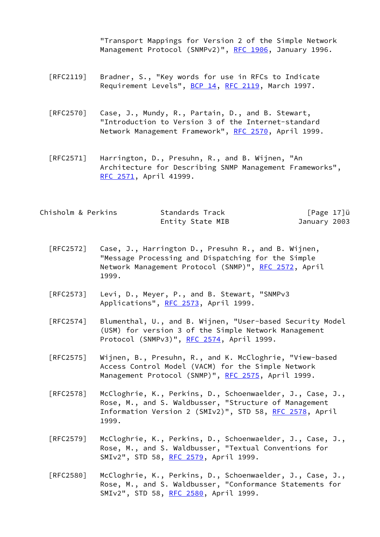"Transport Mappings for Version 2 of the Simple Network Management Protocol (SNMPv2)", [RFC 1906](https://datatracker.ietf.org/doc/pdf/rfc1906), January 1996.

- [RFC2119] Bradner, S., "Key words for use in RFCs to Indicate Requirement Levels", [BCP 14](https://datatracker.ietf.org/doc/pdf/bcp14), [RFC 2119](https://datatracker.ietf.org/doc/pdf/rfc2119), March 1997.
- [RFC2570] Case, J., Mundy, R., Partain, D., and B. Stewart, "Introduction to Version 3 of the Internet-standard Network Management Framework", [RFC 2570](https://datatracker.ietf.org/doc/pdf/rfc2570), April 1999.
- [RFC2571] Harrington, D., Presuhn, R., and B. Wijnen, "An Architecture for Describing SNMP Management Frameworks", [RFC 2571,](https://datatracker.ietf.org/doc/pdf/rfc2571) April 41999.

| Chisholm & Perkins | Standards Track  | [Page 17]ü   |  |
|--------------------|------------------|--------------|--|
|                    | Entity State MIB | January 2003 |  |

- [RFC2572] Case, J., Harrington D., Presuhn R., and B. Wijnen, "Message Processing and Dispatching for the Simple Network Management Protocol (SNMP)", [RFC 2572](https://datatracker.ietf.org/doc/pdf/rfc2572), April 1999.
- [RFC2573] Levi, D., Meyer, P., and B. Stewart, "SNMPv3 Applications", [RFC 2573](https://datatracker.ietf.org/doc/pdf/rfc2573), April 1999.
- [RFC2574] Blumenthal, U., and B. Wijnen, "User-based Security Model (USM) for version 3 of the Simple Network Management Protocol (SNMPv3)", [RFC 2574,](https://datatracker.ietf.org/doc/pdf/rfc2574) April 1999.
- [RFC2575] Wijnen, B., Presuhn, R., and K. McCloghrie, "View-based Access Control Model (VACM) for the Simple Network Management Protocol (SNMP)", [RFC 2575](https://datatracker.ietf.org/doc/pdf/rfc2575), April 1999.
- [RFC2578] McCloghrie, K., Perkins, D., Schoenwaelder, J., Case, J., Rose, M., and S. Waldbusser, "Structure of Management Information Version 2 (SMIv2)", STD 58, [RFC 2578,](https://datatracker.ietf.org/doc/pdf/rfc2578) April 1999.
- [RFC2579] McCloghrie, K., Perkins, D., Schoenwaelder, J., Case, J., Rose, M., and S. Waldbusser, "Textual Conventions for SMIv2", STD 58, [RFC 2579,](https://datatracker.ietf.org/doc/pdf/rfc2579) April 1999.
- [RFC2580] McCloghrie, K., Perkins, D., Schoenwaelder, J., Case, J., Rose, M., and S. Waldbusser, "Conformance Statements for SMIv2", STD 58, [RFC 2580,](https://datatracker.ietf.org/doc/pdf/rfc2580) April 1999.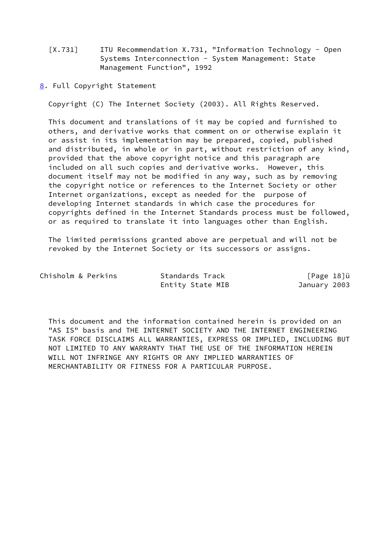- [X.731] ITU Recommendation X.731, "Information Technology Open Systems Interconnection - System Management: State Management Function", 1992
- <span id="page-20-0"></span>[8](#page-20-0). Full Copyright Statement

Copyright (C) The Internet Society (2003). All Rights Reserved.

 This document and translations of it may be copied and furnished to others, and derivative works that comment on or otherwise explain it or assist in its implementation may be prepared, copied, published and distributed, in whole or in part, without restriction of any kind, provided that the above copyright notice and this paragraph are included on all such copies and derivative works. However, this document itself may not be modified in any way, such as by removing the copyright notice or references to the Internet Society or other Internet organizations, except as needed for the purpose of developing Internet standards in which case the procedures for copyrights defined in the Internet Standards process must be followed, or as required to translate it into languages other than English.

 The limited permissions granted above are perpetual and will not be revoked by the Internet Society or its successors or assigns.

| Chisholm & Perkins | Standards Track  | [Page 18]ü   |
|--------------------|------------------|--------------|
|                    | Entity State MIB | January 2003 |

 This document and the information contained herein is provided on an "AS IS" basis and THE INTERNET SOCIETY AND THE INTERNET ENGINEERING TASK FORCE DISCLAIMS ALL WARRANTIES, EXPRESS OR IMPLIED, INCLUDING BUT NOT LIMITED TO ANY WARRANTY THAT THE USE OF THE INFORMATION HEREIN WILL NOT INFRINGE ANY RIGHTS OR ANY IMPLIED WARRANTIES OF MERCHANTABILITY OR FITNESS FOR A PARTICULAR PURPOSE.